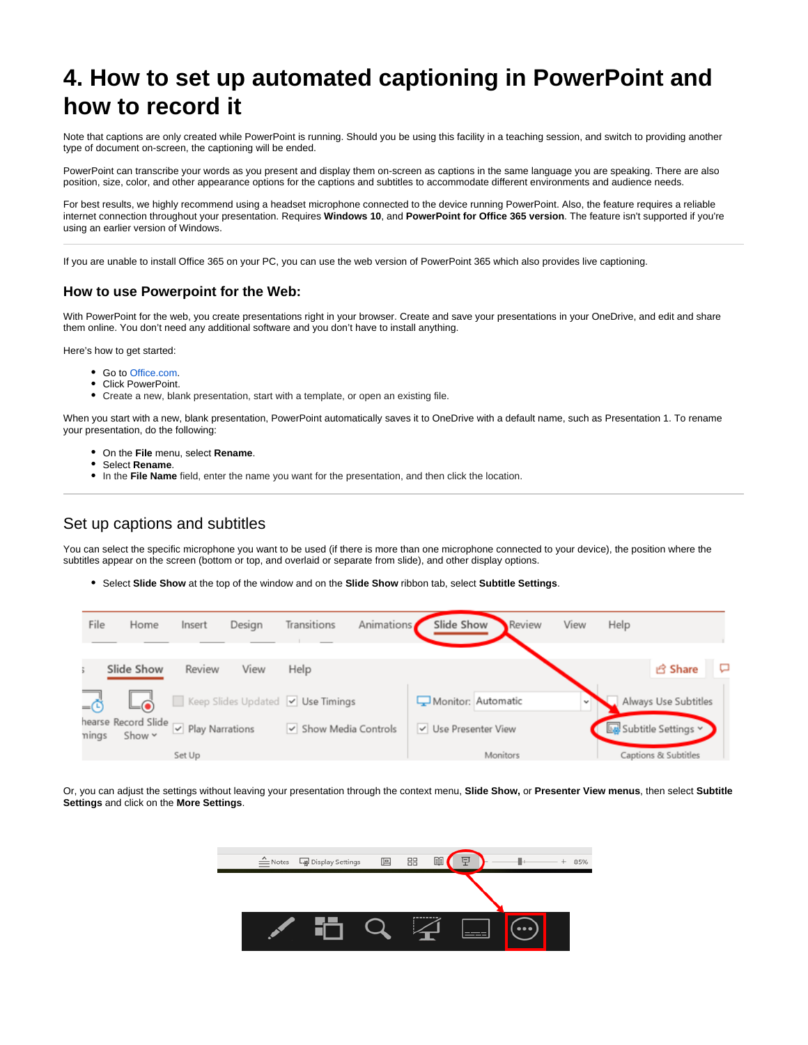# **4. How to set up automated captioning in PowerPoint and how to record it**

Note that captions are only created while PowerPoint is running. Should you be using this facility in a teaching session, and switch to providing another type of document on-screen, the captioning will be ended.

PowerPoint can transcribe your words as you present and display them on-screen as captions in the same language you are speaking. There are also position, size, color, and other appearance options for the captions and subtitles to accommodate different environments and audience needs.

For best results, we highly recommend using a headset microphone connected to the device running PowerPoint. Also, the feature requires a reliable internet connection throughout your presentation. Requires **Windows 10**, and **PowerPoint for Office 365 version**. The feature isn't supported if you're using an earlier version of Windows.

If you are unable to install Office 365 on your PC, you can use the web version of PowerPoint 365 which also provides live captioning.

### **How to use Powerpoint for the Web:**

With PowerPoint for the web, you create presentations right in your browser. Create and save your presentations in your OneDrive, and edit and share them online. You don't need any additional software and you don't have to install anything.

Here's how to get started:

- Go to [Office.com](https://office.com/).
- Click PowerPoint.
- Create a new, blank presentation, start with a template, or open an existing file.

When you start with a new, blank presentation, PowerPoint automatically saves it to OneDrive with a default name, such as Presentation 1. To rename your presentation, do the following:

- On the **File** menu, select **Rename**.
- Select **Rename**.
- In the **File Name** field, enter the name you want for the presentation, and then click the location.

# Set up captions and subtitles

You can select the specific microphone you want to be used (if there is more than one microphone connected to your device), the position where the subtitles appear on the screen (bottom or top, and overlaid or separate from slide), and other display options.

Select **Slide Show** at the top of the window and on the **Slide Show** ribbon tab, select **Subtitle Settings**.

| File  | Home                               | Insert                          | Design | Transitions                       | Animations | Slide Show           | <b>Review</b> | View | Help |                      |  |
|-------|------------------------------------|---------------------------------|--------|-----------------------------------|------------|----------------------|---------------|------|------|----------------------|--|
|       | Slide Show                         | Review                          | View   | Help                              |            |                      |               |      |      | <b>B</b> Share       |  |
|       |                                    |                                 |        | Keep Slides Updated V Use Timings |            | Monitor: Automatic   |               |      |      | Always Use Subtitles |  |
| nings | hearse Record Slide<br>Show $\sim$ | $\triangledown$ Play Narrations |        | v Show Media Controls             |            | V Use Presenter View |               |      |      | Subtitle Settings v  |  |
|       |                                    | Set Up                          |        |                                   |            |                      | Monitors      |      |      | Captions & Subtitles |  |

Or, you can adjust the settings without leaving your presentation through the context menu, **Slide Show,** or **Presenter View menus**, then select **Subtitle Settings** and click on the **More Settings**.

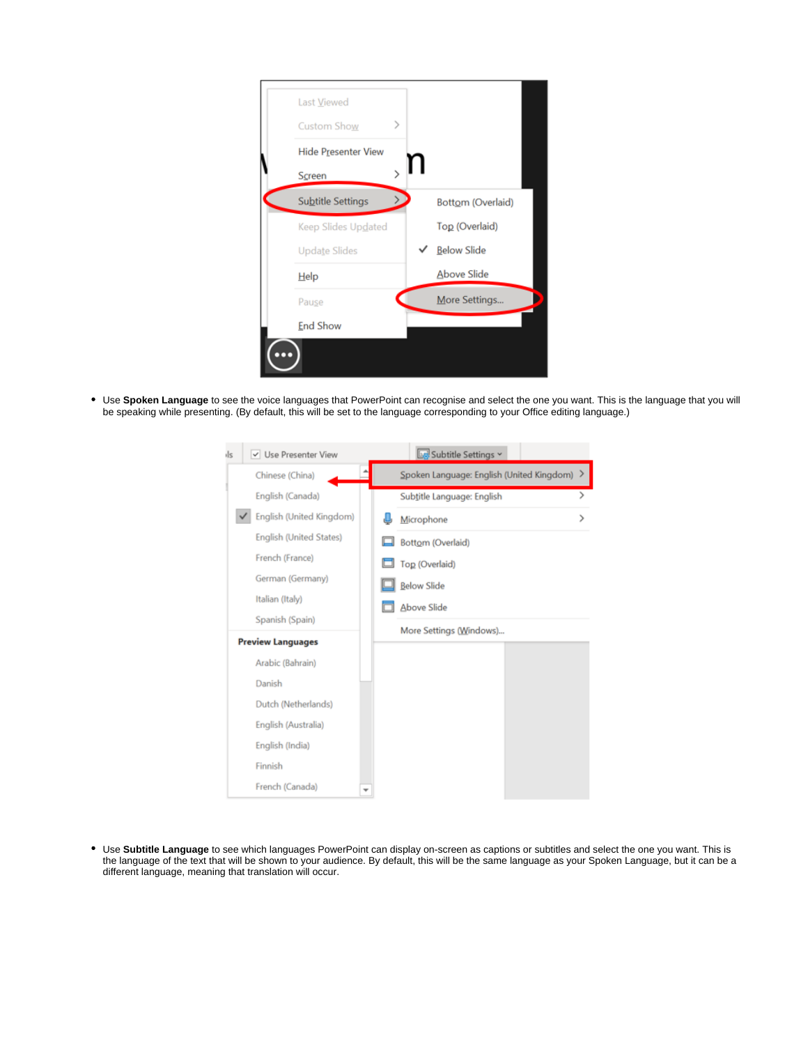| Last Viewed          |                    |
|----------------------|--------------------|
| ⋋<br>Custom Show     |                    |
| Hide Presenter View  |                    |
| Screen               |                    |
| Subtitle Settings    | Bottom (Overlaid)  |
| Keep Slides Updated  | Top (Overlaid)     |
| <b>Update Slides</b> | <b>Below Slide</b> |
| Help                 | <b>Above Slide</b> |
| Pause                | More Settings      |
| <b>End Show</b>      |                    |

Use **Spoken Language** to see the voice languages that PowerPoint can recognise and select the one you want. This is the language that you will be speaking while presenting. (By default, this will be set to the language corresponding to your Office editing language.)

| V Use Presenter View<br>ils | Subtitle Settings Y                       |
|-----------------------------|-------------------------------------------|
| Chinese (China)             | Spoken Language: English (United Kingdom) |
| English (Canada)            | ⋟<br>Subtitle Language: English           |
| English (United Kingdom)    | Microphone<br>⋗                           |
| English (United States)     | Bottom (Overlaid)                         |
| French (France)             | Top (Overlaid)                            |
| German (Germany)            | <b>Below Slide</b>                        |
| Italian (Italy)             | <b>Above Slide</b>                        |
| Spanish (Spain)             | More Settings (Windows)                   |
| <b>Preview Languages</b>    |                                           |
| Arabic (Bahrain)            |                                           |
| Danish                      |                                           |
| Dutch (Netherlands)         |                                           |
| English (Australia)         |                                           |
| English (India)             |                                           |
| Finnish                     |                                           |
| French (Canada)             |                                           |

Use **Subtitle Language** to see which languages PowerPoint can display on-screen as captions or subtitles and select the one you want. This is the language of the text that will be shown to your audience. By default, this will be the same language as your Spoken Language, but it can be a different language, meaning that translation will occur.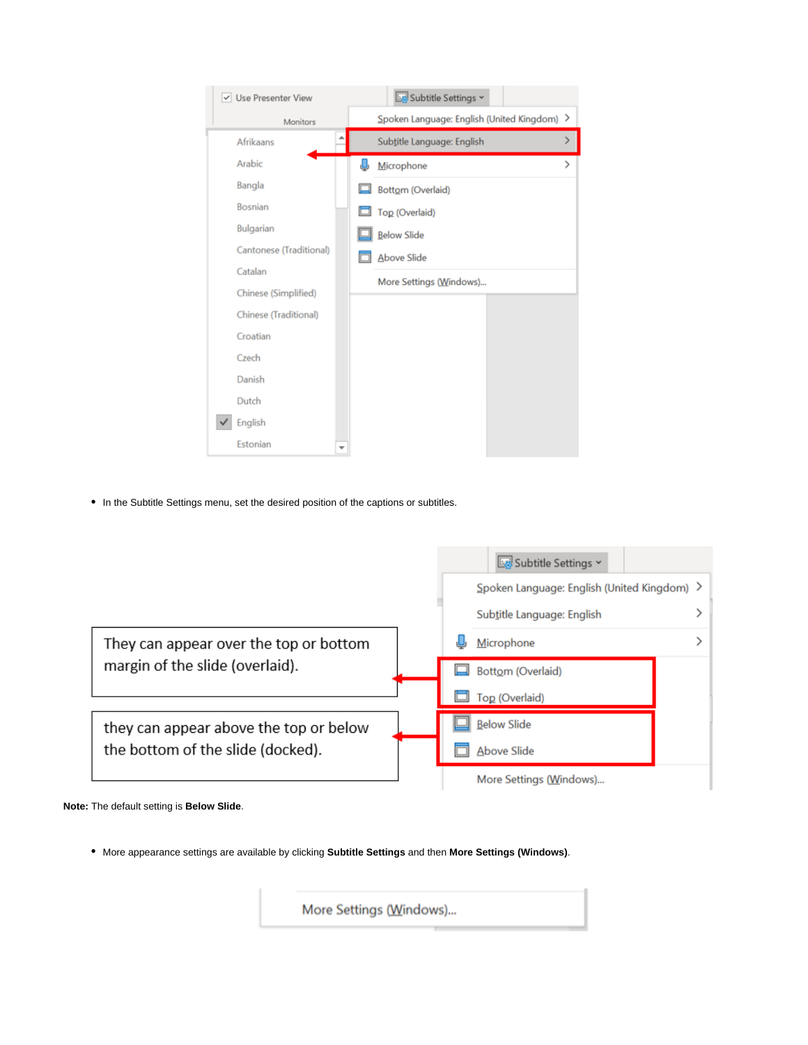| V Use Presenter View    |  |   | Subtitle Settings v                         |               |
|-------------------------|--|---|---------------------------------------------|---------------|
| Monitors                |  |   | Spoken Language: English (United Kingdom) > |               |
| Afrikaans               |  |   | Subtitle Language: English                  | >             |
| Arabic                  |  | J | Microphone                                  | $\mathcal{P}$ |
| Bangla                  |  |   | Bottom (Overlaid)                           |               |
| Bosnian                 |  |   | Top (Overlaid)                              |               |
| Bulgarian               |  |   | <b>Below Slide</b>                          |               |
| Cantonese (Traditional) |  |   | <b>Above Slide</b>                          |               |
| Catalan                 |  |   | More Settings (Windows)                     |               |
| Chinese (Simplified)    |  |   |                                             |               |
| Chinese (Traditional)   |  |   |                                             |               |
| Croatian                |  |   |                                             |               |
| Czech                   |  |   |                                             |               |
| Danish                  |  |   |                                             |               |
| Dutch                   |  |   |                                             |               |
| English                 |  |   |                                             |               |
| Estonian                |  |   |                                             |               |

• In the Subtitle Settings menu, set the desired position of the captions or subtitles.

|                                        | Subtitle Settings v                         |
|----------------------------------------|---------------------------------------------|
|                                        | Spoken Language: English (United Kingdom) > |
|                                        | Subtitle Language: English                  |
| They can appear over the top or bottom | Microphone                                  |
| margin of the slide (overlaid).        | Bottom (Overlaid)                           |
|                                        | Top (Overlaid)                              |
| they can appear above the top or below | <b>Below Slide</b>                          |
| the bottom of the slide (docked).      | Above Slide                                 |
|                                        | More Settings (Windows)                     |



More appearance settings are available by clicking **Subtitle Settings** and then **More Settings (Windows)**.

More Settings (Windows)...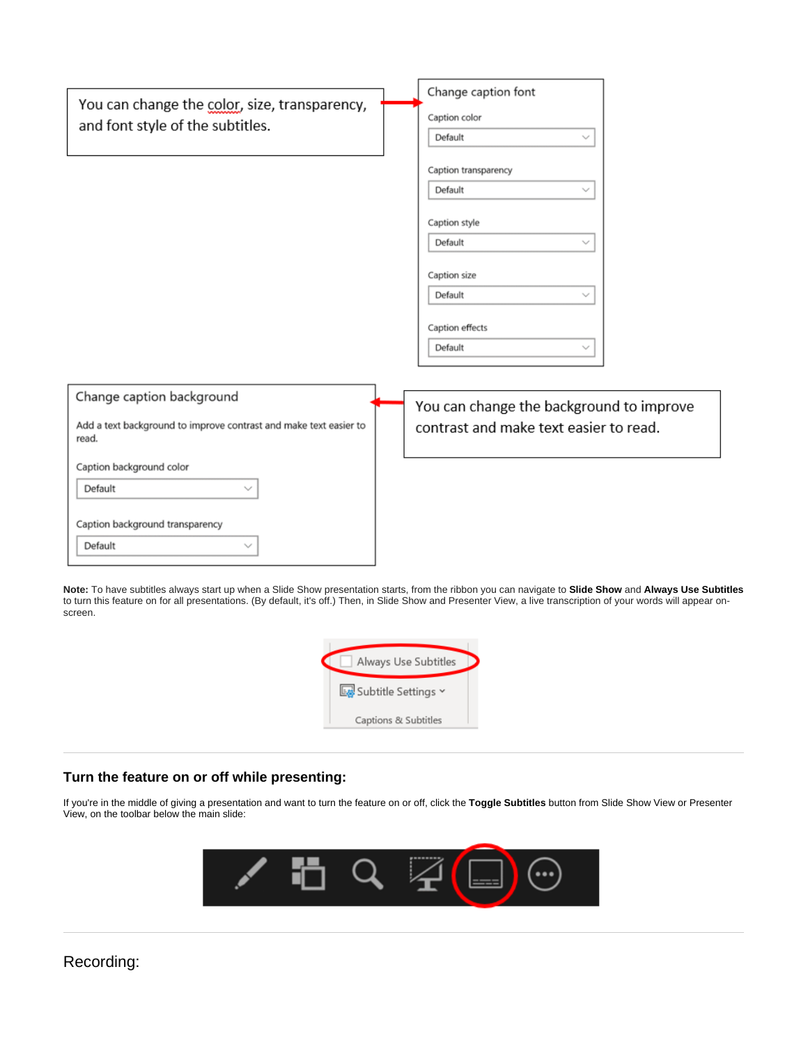|                                                                                   | Change caption font                      |
|-----------------------------------------------------------------------------------|------------------------------------------|
| You can change the color, size, transparency,<br>and font style of the subtitles. | Caption color                            |
|                                                                                   | Default<br>$\checkmark$                  |
|                                                                                   | Caption transparency                     |
|                                                                                   | Default<br>$\checkmark$                  |
|                                                                                   | Caption style                            |
|                                                                                   | Default<br>$\checkmark$                  |
|                                                                                   |                                          |
|                                                                                   | Caption size<br>Default<br>$\checkmark$  |
|                                                                                   |                                          |
|                                                                                   | Caption effects                          |
|                                                                                   | Default<br>$\checkmark$                  |
|                                                                                   |                                          |
| Change caption background                                                         | You can change the background to improve |
| Add a text background to improve contrast and make text easier to<br>read.        | contrast and make text easier to read.   |
| Caption background color                                                          |                                          |
| Default                                                                           |                                          |
|                                                                                   |                                          |
| Caption background transparency                                                   |                                          |
| Default<br>$\checkmark$                                                           |                                          |

**Note:** To have subtitles always start up when a Slide Show presentation starts, from the ribbon you can navigate to **Slide Show** and **Always Use Subtitles** to turn this feature on for all presentations. (By default, it's off.) Then, in Slide Show and Presenter View, a live transcription of your words will appear onscreen.



## **Turn the feature on or off while presenting:**

If you're in the middle of giving a presentation and want to turn the feature on or off, click the **Toggle Subtitles** button from Slide Show View or Presenter View, on the toolbar below the main slide:



# Recording: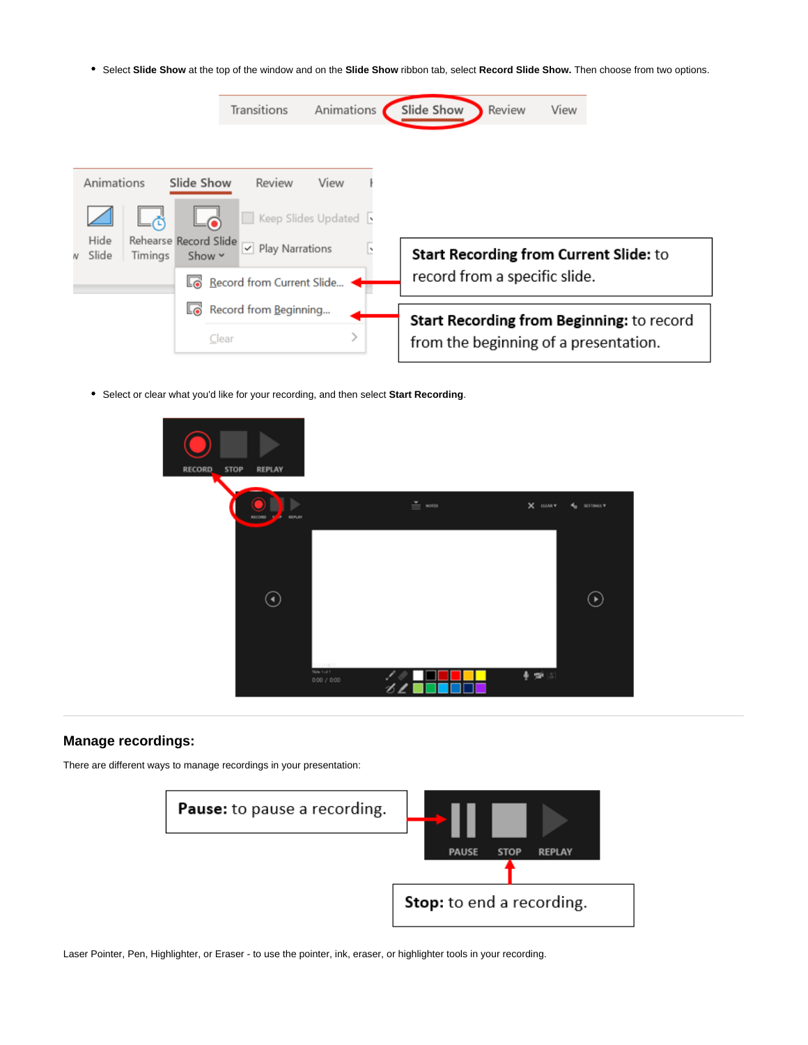Select **Slide Show** at the top of the window and on the **Slide Show** ribbon tab, select **Record Slide Show.** Then choose from two options.

|                                                   | Transitions               | Animations | Slide Show                    | Review | View                                      |
|---------------------------------------------------|---------------------------|------------|-------------------------------|--------|-------------------------------------------|
| Animations<br>Slide Show                          | Review                    | View       |                               |        |                                           |
| Hide<br>Rehearse Record Slide                     | Keep Slides Updated       |            |                               |        |                                           |
| Slide<br>Timings<br>Show $\sim$<br>$\overline{M}$ | $\vee$ Play Narrations    |            |                               |        | Start Recording from Current Slide: to    |
|                                                   | Record from Current Slide |            | record from a specific slide. |        |                                           |
| Lo                                                | Record from Beginning     |            |                               |        | Start Recording from Beginning: to record |
|                                                   | Clear                     |            |                               |        | from the beginning of a presentation.     |

Select or clear what you'd like for your recording, and then select **Start Recording**.



### **Manage recordings:**

There are different ways to manage recordings in your presentation:



Laser Pointer, Pen, Highlighter, or Eraser - to use the pointer, ink, eraser, or highlighter tools in your recording.